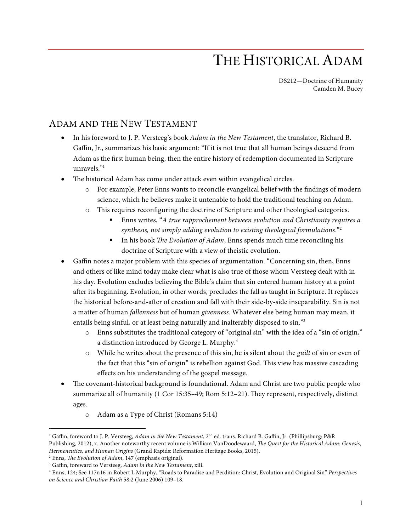## THE HISTORICAL ADAM

DS212—Doctrine of Humanity Camden M. Bucey

## ADAM AND THE NEW TESTAMENT

- In his foreword to J. P. Versteeg's book *Adam in the New Testament*, the translator, Richard B. Gaffin, Jr., summarizes his basic argument: "If it is not true that all human beings descend from Adam as the first human being, then the entire history of redemption documented in Scripture unravels."1
- The historical Adam has come under attack even within evangelical circles.
	- o For example, Peter Enns wants to reconcile evangelical belief with the findings of modern science, which he believes make it untenable to hold the traditional teaching on Adam.
	- o This requires reconfiguring the doctrine of Scripture and other theological categories.
		- § Enns writes, "*A true rapprochement between evolution and Christianity requires a synthesis, not simply adding evolution to existing theological formulations*."2
		- In his book *The Evolution of Adam*, Enns spends much time reconciling his doctrine of Scripture with a view of theistic evolution.
- Gaffin notes a major problem with this species of argumentation. "Concerning sin, then, Enns and others of like mind today make clear what is also true of those whom Versteeg dealt with in his day. Evolution excludes believing the Bible's claim that sin entered human history at a point after its beginning. Evolution, in other words, precludes the fall as taught in Scripture. It replaces the historical before-and-after of creation and fall with their side-by-side inseparability. Sin is not a matter of human *fallenness* but of human *givenness*. Whatever else being human may mean, it entails being sinful, or at least being naturally and inalterably disposed to sin."3
	- o Enns substitutes the traditional category of "original sin" with the idea of a "sin of origin," a distinction introduced by George L. Murphy.<sup>4</sup>
	- o While he writes about the presence of this sin, he is silent about the *guilt* of sin or even of the fact that this "sin of origin" is rebellion against God. This view has massive cascading effects on his understanding of the gospel message.
- The covenant-historical background is foundational. Adam and Christ are two public people who summarize all of humanity (1 Cor 15:35–49; Rom 5:12–21). They represent, respectively, distinct ages.
	- o Adam as a Type of Christ (Romans 5:14)

 <sup>1</sup> Gaffin, foreword to J. P. Versteeg, *Adam in the New Testament*, 2nd ed. trans. Richard B. Gaffin, Jr. (Phillipsburg: P&R Publishing, 2012), x. Another noteworthy recent volume is William VanDoodewaard, *The Quest for the Historical Adam: Genesis, Hermeneutics, and Human Origins* (Grand Rapids: Reformation Heritage Books, 2015).

<sup>2</sup> Enns, *The Evolution of Adam*, 147 (emphasis original).

<sup>3</sup> Gaffin, foreward to Versteeg, *Adam in the New Testament*, xiii.

<sup>4</sup> Enns, 124; See 117n16 in Robert L Murphy, "Roads to Paradise and Perdition: Christ, Evolution and Original Sin" *Perspectives on Science and Christian Faith* 58:2 (June 2006) 109–18.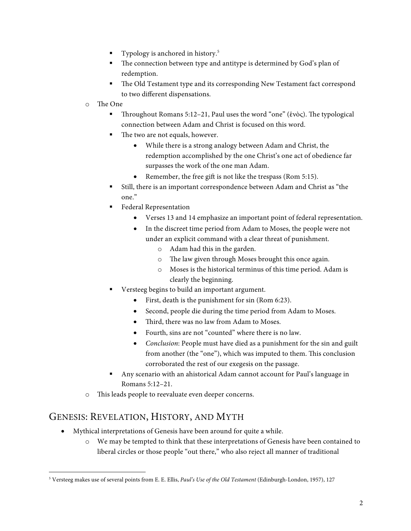- Typology is anchored in history.<sup>5</sup>
- The connection between type and antitype is determined by God's plan of redemption.
- The Old Testament type and its corresponding New Testament fact correspond to two different dispensations.
- o The One
	- § Throughout Romans 5:12–21, Paul uses the word "one" (ἑνὸς). The typological connection between Adam and Christ is focused on this word.
	- The two are not equals, however.
		- While there is a strong analogy between Adam and Christ, the redemption accomplished by the one Christ's one act of obedience far surpasses the work of the one man Adam.
		- Remember, the free gift is not like the trespass (Rom 5:15).
	- § Still, there is an important correspondence between Adam and Christ as "the one."
	- Federal Representation
		- Verses 13 and 14 emphasize an important point of federal representation.
		- In the discreet time period from Adam to Moses, the people were not under an explicit command with a clear threat of punishment.
			- o Adam had this in the garden.
			- o The law given through Moses brought this once again.
			- o Moses is the historical terminus of this time period. Adam is clearly the beginning.
	- Versteeg begins to build an important argument.
		- First, death is the punishment for sin (Rom 6:23).
		- Second, people die during the time period from Adam to Moses.
		- Third, there was no law from Adam to Moses.
		- Fourth, sins are not "counted" where there is no law.
		- *Conclusion*: People must have died as a punishment for the sin and guilt from another (the "one"), which was imputed to them. This conclusion corroborated the rest of our exegesis on the passage.
	- § Any scenario with an ahistorical Adam cannot account for Paul's language in Romans 5:12–21.
- o This leads people to reevaluate even deeper concerns.

## GENESIS: REVELATION, HISTORY, AND MYTH

- Mythical interpretations of Genesis have been around for quite a while.
	- o We may be tempted to think that these interpretations of Genesis have been contained to liberal circles or those people "out there," who also reject all manner of traditional

 <sup>5</sup> Versteeg makes use of several points from E. E. Ellis, *Paul's Use of the Old Testament* (Edinburgh-London, 1957), 127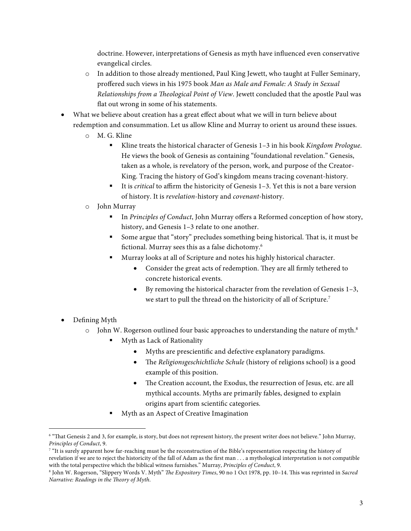doctrine. However, interpretations of Genesis as myth have influenced even conservative evangelical circles.

- o In addition to those already mentioned, Paul King Jewett, who taught at Fuller Seminary, proffered such views in his 1975 book *Man as Male and Female: A Study in Sexual Relationships from a Theological Point of View*. Jewett concluded that the apostle Paul was flat out wrong in some of his statements.
- What we believe about creation has a great effect about what we will in turn believe about redemption and consummation. Let us allow Kline and Murray to orient us around these issues.
	- o M. G. Kline
		- § Kline treats the historical character of Genesis 1–3 in his book *Kingdom Prologue*. He views the book of Genesis as containing "foundational revelation." Genesis, taken as a whole, is revelatory of the person, work, and purpose of the Creator-King. Tracing the history of God's kingdom means tracing covenant-history.
		- It is *critical* to affirm the historicity of Genesis 1–3. Yet this is not a bare version of history. It is *revelation*-history and *covenant-*history.
	- o John Murray
		- § In *Principles of Conduct*, John Murray offers a Reformed conception of how story, history, and Genesis 1–3 relate to one another.
		- § Some argue that "story" precludes something being historical. That is, it must be fictional. Murray sees this as a false dichotomy.6
		- § Murray looks at all of Scripture and notes his highly historical character.
			- Consider the great acts of redemption. They are all firmly tethered to concrete historical events.
			- By removing the historical character from the revelation of Genesis 1–3, we start to pull the thread on the historicity of all of Scripture.<sup>7</sup>
- Defining Myth
	- $\circ$  John W. Rogerson outlined four basic approaches to understanding the nature of myth.<sup>8</sup>
		- Myth as Lack of Rationality
			- Myths are prescientific and defective explanatory paradigms.
			- The *Religionsgeschichtliche Schule* (history of religions school) is a good example of this position.
			- The Creation account, the Exodus, the resurrection of Jesus, etc. are all mythical accounts. Myths are primarily fables, designed to explain origins apart from scientific categories.
		- § Myth as an Aspect of Creative Imagination

 <sup>6</sup> "That Genesis 2 and 3, for example, is story, but does not represent history, the present writer does not believe." John Murray, *Principles of Conduct*, 9.

<sup>&</sup>lt;sup>7</sup> "It is surely apparent how far-reaching must be the reconstruction of the Bible's representation respecting the history of revelation if we are to reject the historicity of the fall of Adam as the first man . . . a mythological interpretation is not compatible with the total perspective which the biblical witness furnishes." Murray, *Principles of Conduct*, 9.

<sup>8</sup> John W. Rogerson, "Slippery Words V. Myth" *The Expository Times*, 90 no 1 Oct 1978, pp. 10–14. This was reprinted in *Sacred Narrative: Readings in the Theory of Myth*.